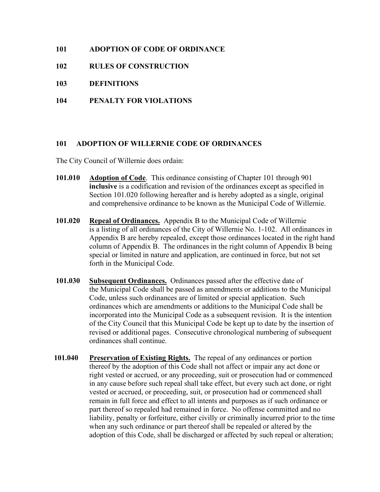# **101 ADOPTION OF CODE OF ORDINANCE**

- **102 RULES OF CONSTRUCTION**
- **103 DEFINITIONS**
- **104 PENALTY FOR VIOLATIONS**

# **101 ADOPTION OF WILLERNIE CODE OF ORDINANCES**

The City Council of Willernie does ordain:

- **101.010 Adoption of Code**. This ordinance consisting of Chapter 101 through 901 **inclusive** is a codification and revision of the ordinances except as specified in Section 101.020 following hereafter and is hereby adopted as a single, original and comprehensive ordinance to be known as the Municipal Code of Willernie.
- **101.020 Repeal of Ordinances.** Appendix B to the Municipal Code of Willernie is a listing of all ordinances of the City of Willernie No. 1-102. All ordinances in Appendix B are hereby repealed, except those ordinances located in the right hand column of Appendix B. The ordinances in the right column of Appendix B being special or limited in nature and application, are continued in force, but not set forth in the Municipal Code.
- **101.030 Subsequent Ordinances.** Ordinances passed after the effective date of the Municipal Code shall be passed as amendments or additions to the Municipal Code, unless such ordinances are of limited or special application. Such ordinances which are amendments or additions to the Municipal Code shall be incorporated into the Municipal Code as a subsequent revision. It is the intention of the City Council that this Municipal Code be kept up to date by the insertion of revised or additional pages. Consecutive chronological numbering of subsequent ordinances shall continue.
- **101.040 Preservation of Existing Rights.** The repeal of any ordinances or portion thereof by the adoption of this Code shall not affect or impair any act done or right vested or accrued, or any proceeding, suit or prosecution had or commenced in any cause before such repeal shall take effect, but every such act done, or right vested or accrued, or proceeding, suit, or prosecution had or commenced shall remain in full force and effect to all intents and purposes as if such ordinance or part thereof so repealed had remained in force. No offense committed and no liability, penalty or forfeiture, either civilly or criminally incurred prior to the time when any such ordinance or part thereof shall be repealed or altered by the adoption of this Code, shall be discharged or affected by such repeal or alteration;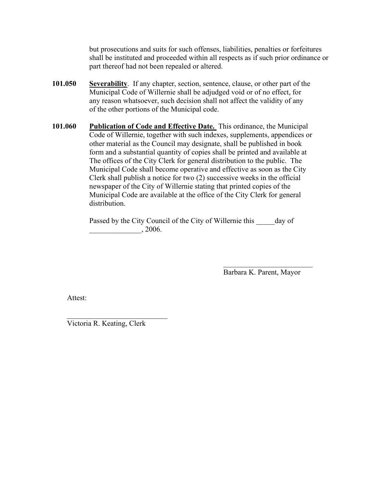but prosecutions and suits for such offenses, liabilities, penalties or forfeitures shall be instituted and proceeded within all respects as if such prior ordinance or part thereof had not been repealed or altered.

- **101.050 Severability**. If any chapter, section, sentence, clause, or other part of the Municipal Code of Willernie shall be adjudged void or of no effect, for any reason whatsoever, such decision shall not affect the validity of any of the other portions of the Municipal code.
- **101.060 Publication of Code and Effective Date.** This ordinance, the Municipal Code of Willernie, together with such indexes, supplements, appendices or other material as the Council may designate, shall be published in book form and a substantial quantity of copies shall be printed and available at The offices of the City Clerk for general distribution to the public. The Municipal Code shall become operative and effective as soon as the City Clerk shall publish a notice for two (2) successive weeks in the official newspaper of the City of Willernie stating that printed copies of the Municipal Code are available at the office of the City Clerk for general distribution.

Passed by the City Council of the City of Willernie this day of \_\_\_\_\_\_\_\_\_\_\_\_\_\_, 2006.

> \_\_\_\_\_\_\_\_\_\_\_\_\_\_\_\_\_\_\_\_\_\_\_\_ Barbara K. Parent, Mayor

Attest:

 $\mathcal{L}_\text{max}$  , where  $\mathcal{L}_\text{max}$  and  $\mathcal{L}_\text{max}$ Victoria R. Keating, Clerk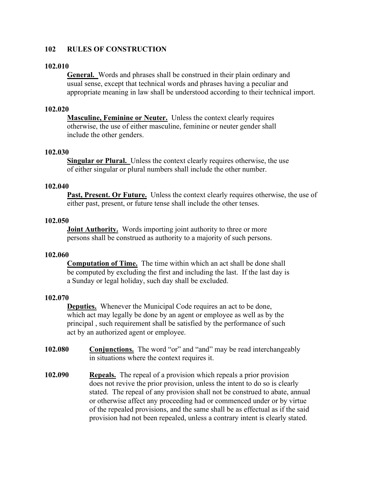# **102 RULES OF CONSTRUCTION**

#### **102.010**

**General.** Words and phrases shall be construed in their plain ordinary and usual sense, except that technical words and phrases having a peculiar and appropriate meaning in law shall be understood according to their technical import.

## **102.020**

**Masculine, Feminine or Neuter.** Unless the context clearly requires otherwise, the use of either masculine, feminine or neuter gender shall include the other genders.

### **102.030**

**Singular or Plural.** Unless the context clearly requires otherwise, the use of either singular or plural numbers shall include the other number.

#### **102.040**

**Past, Present. Or Future.** Unless the context clearly requires otherwise, the use of either past, present, or future tense shall include the other tenses.

## **102.050**

**Joint Authority.** Words importing joint authority to three or more persons shall be construed as authority to a majority of such persons.

#### **102.060**

**Computation of Time.** The time within which an act shall be done shall be computed by excluding the first and including the last. If the last day is a Sunday or legal holiday, such day shall be excluded.

## **102.070**

**Deputies.** Whenever the Municipal Code requires an act to be done, which act may legally be done by an agent or employee as well as by the principal , such requirement shall be satisfied by the performance of such act by an authorized agent or employee.

- **102.080 Conjunctions.** The word "or" and "and" may be read interchangeably in situations where the context requires it.
- **102.090 Repeals.** The repeal of a provision which repeals a prior provision does not revive the prior provision, unless the intent to do so is clearly stated. The repeal of any provision shall not be construed to abate, annual or otherwise affect any proceeding had or commenced under or by virtue of the repealed provisions, and the same shall be as effectual as if the said provision had not been repealed, unless a contrary intent is clearly stated.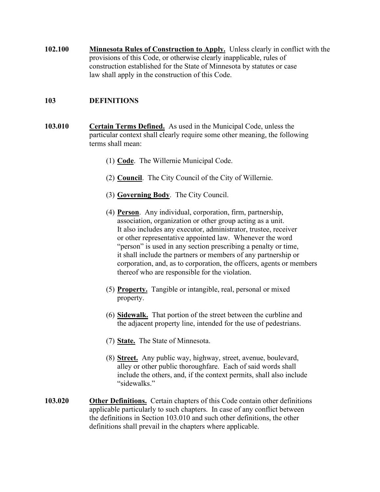**102.100 Minnesota Rules of Construction to Apply.** Unless clearly in conflict with the provisions of this Code, or otherwise clearly inapplicable, rules of construction established for the State of Minnesota by statutes or case law shall apply in the construction of this Code.

# **103 DEFINITIONS**

- **103.010 Certain Terms Defined.** As used in the Municipal Code, unless the particular context shall clearly require some other meaning, the following terms shall mean:
	- (1) **Code**. The Willernie Municipal Code.
	- (2) **Council**. The City Council of the City of Willernie.
	- (3) **Governing Body**. The City Council.
	- (4) **Person**. Any individual, corporation, firm, partnership, association, organization or other group acting as a unit. It also includes any executor, administrator, trustee, receiver or other representative appointed law. Whenever the word "person" is used in any section prescribing a penalty or time, it shall include the partners or members of any partnership or corporation, and, as to corporation, the officers, agents or members thereof who are responsible for the violation.
	- (5) **Property.** Tangible or intangible, real, personal or mixed property.
	- (6) **Sidewalk.** That portion of the street between the curbline and the adjacent property line, intended for the use of pedestrians.
	- (7) **State.** The State of Minnesota.
	- (8) **Street.** Any public way, highway, street, avenue, boulevard, alley or other public thoroughfare. Each of said words shall include the others, and, if the context permits, shall also include "sidewalks."
- **103.020 Other Definitions.** Certain chapters of this Code contain other definitions applicable particularly to such chapters. In case of any conflict between the definitions in Section 103.010 and such other definitions, the other definitions shall prevail in the chapters where applicable.